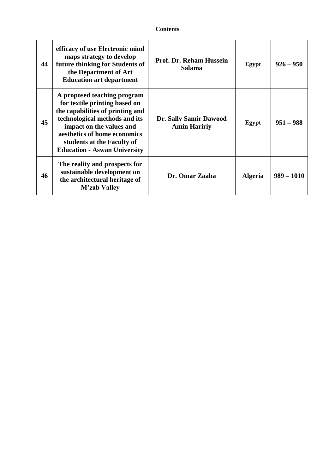| 44 | efficacy of use Electronic mind<br>maps strategy to develop<br>future thinking for Students of<br>the Department of Art<br><b>Education art department</b>                                                                                                         | <b>Prof. Dr. Reham Hussein</b><br><b>Salama</b> | Egypt          | $926 - 950$  |
|----|--------------------------------------------------------------------------------------------------------------------------------------------------------------------------------------------------------------------------------------------------------------------|-------------------------------------------------|----------------|--------------|
| 45 | A proposed teaching program<br>for textile printing based on<br>the capabilities of printing and<br>technological methods and its<br>impact on the values and<br>aesthetics of home economics<br>students at the Faculty of<br><b>Education - Aswan University</b> | Dr. Sally Samir Dawood<br><b>Amin Haririy</b>   | Egypt          | $951 - 988$  |
| 46 | The reality and prospects for<br>sustainable development on<br>the architectural heritage of<br><b>M'zab Valley</b>                                                                                                                                                | Dr. Omar Zaaba                                  | <b>Algeria</b> | $989 - 1010$ |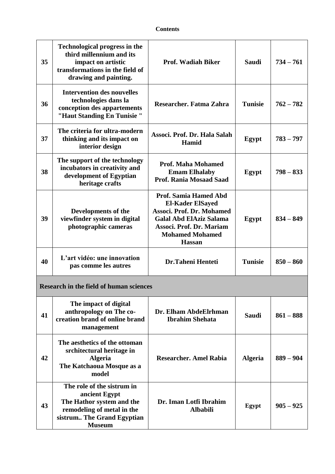| 35 | <b>Technological progress in the</b><br>third millennium and its<br>impact on artistic<br>transformations in the field of<br>drawing and painting. | <b>Prof. Wadiah Biker</b>                                                                                                                                                              | <b>Saudi</b>   | $734 - 761$ |  |
|----|----------------------------------------------------------------------------------------------------------------------------------------------------|----------------------------------------------------------------------------------------------------------------------------------------------------------------------------------------|----------------|-------------|--|
| 36 | <b>Intervention des nouvelles</b><br>technologies dans la<br>conception des appartements<br>"Haut Standing En Tunisie"                             | Researcher. Fatma Zahra                                                                                                                                                                | <b>Tunisie</b> | $762 - 782$ |  |
| 37 | The criteria for ultra-modern<br>thinking and its impact on<br>interior design                                                                     | Associ. Prof. Dr. Hala Salah<br>Hamid                                                                                                                                                  | Egypt          | $783 - 797$ |  |
| 38 | The support of the technology<br>incubators in creativity and<br>development of Egyptian<br>heritage crafts                                        | <b>Prof. Maha Mohamed</b><br><b>Emam Elhalaby</b><br><b>Prof. Rania Mosaad Saad</b>                                                                                                    | Egypt          | $798 - 833$ |  |
| 39 | Developments of the<br>viewfinder system in digital<br>photographic cameras                                                                        | Prof. Samia Hamed Abd<br><b>El-Kader ElSayed</b><br>Associ. Prof. Dr. Mohamed<br><b>Galal Abd ElAziz Salama</b><br>Associ. Prof. Dr. Mariam<br><b>Mohamed Mohamed</b><br><b>Hassan</b> | Egypt          | $834 - 849$ |  |
| 40 | L'art vidéo: une innovation<br>pas comme les autres                                                                                                | <b>Dr.Taheni Henteti</b>                                                                                                                                                               | <b>Tunisie</b> | $850 - 860$ |  |
|    | <b>Research in the field of human sciences</b>                                                                                                     |                                                                                                                                                                                        |                |             |  |
| 41 | The impact of digital<br>anthropology on The co-<br>creation brand of online brand<br>management                                                   | Dr. Elham AbdeElrhman<br><b>Ibrahim Shehata</b>                                                                                                                                        | <b>Saudi</b>   | $861 - 888$ |  |
| 42 | The aesthetics of the ottoman<br>srchitectural heritage in<br><b>Algeria</b><br>The Katchaoua Mosque as a<br>model                                 | <b>Researcher. Amel Rabia</b>                                                                                                                                                          | <b>Algeria</b> | $889 - 904$ |  |
| 43 | The role of the sistrum in<br>ancient Egypt<br>The Hathor system and the<br>remodeling of metal in the<br>sistrum The Grand Egyptian               | Dr. Iman Lotfi Ibrahim<br><b>Albabili</b>                                                                                                                                              | Egypt          | $905 - 925$ |  |

**Museum**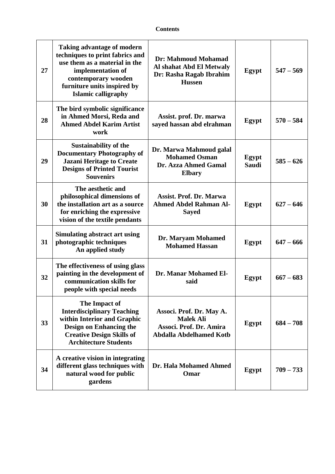| 27 | <b>Taking advantage of modern</b><br>techniques to print fabrics and<br>use them as a material in the<br>implementation of<br>contemporary wooden<br>furniture units inspired by<br>Islamic calligraphy | Dr: Mahmoud Mohamad<br>Al shahat Abd El Metwaly<br>Dr: Rasha Ragab Ibrahim<br><b>Hussen</b>               | Egypt                 | $547 - 569$ |
|----|---------------------------------------------------------------------------------------------------------------------------------------------------------------------------------------------------------|-----------------------------------------------------------------------------------------------------------|-----------------------|-------------|
| 28 | The bird symbolic significance<br>in Ahmed Morsi, Reda and<br><b>Ahmed Abdel Karim Artist</b><br>work                                                                                                   | Assist. prof. Dr. marwa<br>sayed hassan abd elrahman                                                      | Egypt                 | $570 - 584$ |
| 29 | <b>Sustainability of the</b><br><b>Documentary Photography of</b><br><b>Jazani Heritage to Create</b><br><b>Designs of Printed Tourist</b><br><b>Souvenirs</b>                                          | Dr. Marwa Mahmoud galal<br><b>Mohamed Osman</b><br>Dr. Azza Ahmed Gamal<br><b>Elbary</b>                  | Egypt<br><b>Saudi</b> | $585 - 626$ |
| 30 | The aesthetic and<br>philosophical dimensions of<br>the installation art as a source<br>for enriching the expressive<br>vision of the textile pendants                                                  | <b>Assist. Prof. Dr. Marwa</b><br><b>Ahmed Abdel Rahman Al-</b><br><b>Sayed</b>                           | Egypt                 | $627 - 646$ |
| 31 | <b>Simulating abstract art using</b><br>photographic techniques<br>An applied study                                                                                                                     | Dr. Maryam Mohamed<br><b>Mohamed Hassan</b>                                                               | Egypt                 | $647 - 666$ |
| 32 | The effectiveness of using glass<br>painting in the development of<br>communication skills for<br>people with special needs                                                                             | Dr. Manar Mohamed El-<br>said                                                                             | Egypt                 | $667 - 683$ |
| 33 | The Impact of<br><b>Interdisciplinary Teaching</b><br>within Interior and Graphic<br><b>Design on Enhancing the</b><br><b>Creative Design Skills of</b><br><b>Architecture Students</b>                 | Associ. Prof. Dr. May A.<br><b>Malek Ali</b><br>Associ. Prof. Dr. Amira<br><b>Abdalla Abdelhamed Kotb</b> | Egypt                 | $684 - 708$ |
| 34 | A creative vision in integrating<br>different glass techniques with<br>natural wood for public<br>gardens                                                                                               | Dr. Hala Mohamed Ahmed<br>Omar                                                                            | Egypt                 | $709 - 733$ |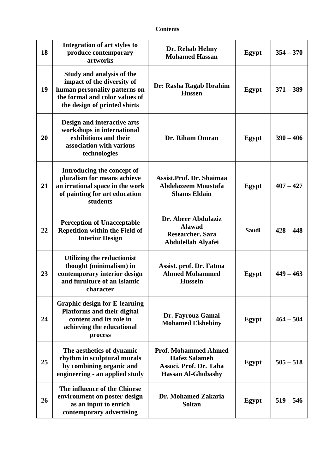| 18 | Integration of art styles to<br>produce contemporary<br>artworks                                                                                           | Dr. Rehab Helmy<br><b>Mohamed Hassan</b>                                                                   | Egypt        | $354 - 370$ |
|----|------------------------------------------------------------------------------------------------------------------------------------------------------------|------------------------------------------------------------------------------------------------------------|--------------|-------------|
| 19 | Study and analysis of the<br>impact of the diversity of<br>human personality patterns on<br>the formal and color values of<br>the design of printed shirts | Dr: Rasha Ragab Ibrahim<br><b>Hussen</b>                                                                   | <b>Egypt</b> | $371 - 389$ |
| 20 | Design and interactive arts<br>workshops in international<br>exhibitions and their<br>association with various<br>technologies                             | Dr. Riham Omran                                                                                            | Egypt        | $390 - 406$ |
| 21 | Introducing the concept of<br>pluralism for means achieve<br>an irrational space in the work<br>of painting for art education<br>students                  | Assist.Prof. Dr. Shaimaa<br><b>Abdelazeem Moustafa</b><br><b>Shams Eldain</b>                              | Egypt        | $407 - 427$ |
| 22 | <b>Perception of Unacceptable</b><br><b>Repetition within the Field of</b><br><b>Interior Design</b>                                                       | Dr. Abeer Abdulaziz<br><b>Alawad</b><br><b>Researcher. Sara</b><br>Abdulellah Alyafei                      | <b>Saudi</b> | $428 - 448$ |
| 23 | Utilizing the reductionist<br>thought (minimalism) in<br>contemporary interior design<br>and furniture of an Islamic<br>character                          | Assist. prof. Dr. Fatma<br><b>Ahmed Mohammed</b><br><b>Hussein</b>                                         | Egypt        | $449 - 463$ |
| 24 | <b>Graphic design for E-learning</b><br><b>Platforms and their digital</b><br>content and its role in<br>achieving the educational<br>process              | Dr. Fayrouz Gamal<br><b>Mohamed Elshebiny</b>                                                              | Egypt        | $464 - 504$ |
| 25 | The aesthetics of dynamic<br>rhythm in sculptural murals<br>by combining organic and<br>engineering - an applied study                                     | <b>Prof. Mohammed Ahmed</b><br><b>Hafez Salameh</b><br>Associ. Prof. Dr. Taha<br><b>Hassan Al-Ghobashy</b> | Egypt        | $505 - 518$ |
| 26 | The influence of the Chinese<br>environment on poster design<br>as an input to enrich<br>contemporary advertising                                          | Dr. Mohamed Zakaria<br><b>Soltan</b>                                                                       | Egypt        | $519 - 546$ |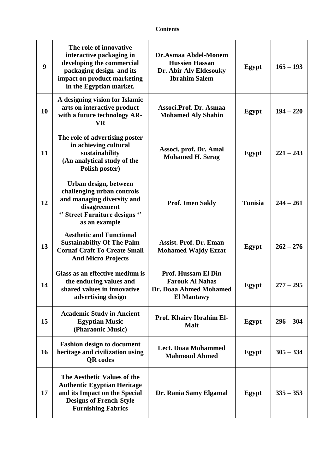| 9  | The role of innovative<br>interactive packaging in<br>developing the commercial<br>packaging design and its<br>impact on product marketing<br>in the Egyptian market. | Dr.Asmaa Abdel-Monem<br><b>Hussien Hassan</b><br>Dr. Abir Aly Eldesouky<br><b>Ibrahim Salem</b> | Egypt          | $165 - 193$ |
|----|-----------------------------------------------------------------------------------------------------------------------------------------------------------------------|-------------------------------------------------------------------------------------------------|----------------|-------------|
| 10 | A designing vision for Islamic<br>arts on interactive product<br>with a future technology AR-<br><b>VR</b>                                                            | Associ.Prof. Dr. Asmaa<br><b>Mohamed Aly Shahin</b>                                             | Egypt          | $194 - 220$ |
| 11 | The role of advertising poster<br>in achieving cultural<br>sustainability<br>(An analytical study of the<br>Polish poster)                                            | Associ. prof. Dr. Amal<br><b>Mohamed H. Serag</b>                                               | Egypt          | $221 - 243$ |
| 12 | Urban design, between<br>challenging urban controls<br>and managing diversity and<br>disagreement<br>"Street Furniture designs"<br>as an example                      | <b>Prof. Imen Sakly</b>                                                                         | <b>Tunisia</b> | $244 - 261$ |
| 13 | <b>Aesthetic and Functional</b><br><b>Sustainability Of The Palm</b><br><b>Cornaf Craft To Create Small</b><br><b>And Micro Projects</b>                              | <b>Assist. Prof. Dr. Eman</b><br><b>Mohamed Wajdy Ezzat</b>                                     | Egypt          | $262 - 276$ |
| 14 | Glass as an effective medium is<br>the enduring values and<br>shared values in innovative<br>advertising design                                                       | Prof. Hussam El Din<br><b>Farouk Al Nahas</b><br>Dr. Doaa Ahmed Mohamed<br><b>El Mantawy</b>    | Egypt          | $277 - 295$ |
| 15 | <b>Academic Study in Ancient</b><br><b>Egyptian Music</b><br>(Pharaonic Music)                                                                                        | Prof. Khairy Ibrahim El-<br><b>Malt</b>                                                         | Egypt          | $296 - 304$ |
| 16 | <b>Fashion design to document</b><br>heritage and civilization using<br><b>OR</b> codes                                                                               | <b>Lect. Doaa Mohammed</b><br><b>Mahmoud Ahmed</b>                                              | Egypt          | $305 - 334$ |
| 17 | The Aesthetic Values of the<br><b>Authentic Egyptian Heritage</b><br>and its Impact on the Special<br><b>Designs of French-Style</b><br><b>Furnishing Fabrics</b>     | Dr. Rania Samy Elgamal                                                                          | Egypt          | $335 - 353$ |